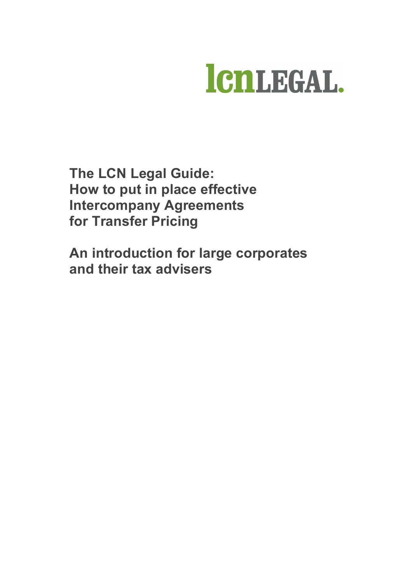

**The LCN Legal Guide: How to put in place effective Intercompany Agreements for Transfer Pricing**

**An introduction for large corporates and their tax advisers**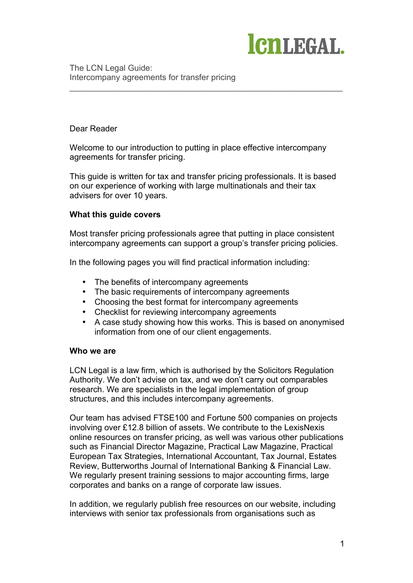

#### Dear Reader

Welcome to our introduction to putting in place effective intercompany agreements for transfer pricing.

\_\_\_\_\_\_\_\_\_\_\_\_\_\_\_\_\_\_\_\_\_\_\_\_\_\_\_\_\_\_\_\_\_\_\_\_\_\_\_\_\_\_\_\_\_\_\_\_\_\_\_\_\_\_\_\_\_\_\_

This guide is written for tax and transfer pricing professionals. It is based on our experience of working with large multinationals and their tax advisers for over 10 years.

#### **What this guide covers**

Most transfer pricing professionals agree that putting in place consistent intercompany agreements can support a group's transfer pricing policies.

In the following pages you will find practical information including:

- The benefits of intercompany agreements
- The basic requirements of intercompany agreements
- Choosing the best format for intercompany agreements
- Checklist for reviewing intercompany agreements
- A case study showing how this works. This is based on anonymised information from one of our client engagements.

#### **Who we are**

LCN Legal is a law firm, which is authorised by the Solicitors Regulation Authority. We don't advise on tax, and we don't carry out comparables research. We are specialists in the legal implementation of group structures, and this includes intercompany agreements.

Our team has advised FTSE100 and Fortune 500 companies on projects involving over £12.8 billion of assets. We contribute to the LexisNexis online resources on transfer pricing, as well was various other publications such as Financial Director Magazine, Practical Law Magazine, Practical European Tax Strategies, International Accountant, Tax Journal, Estates Review, Butterworths Journal of International Banking & Financial Law. We regularly present training sessions to major accounting firms, large corporates and banks on a range of corporate law issues.

In addition, we regularly publish free resources on our website, including interviews with senior tax professionals from organisations such as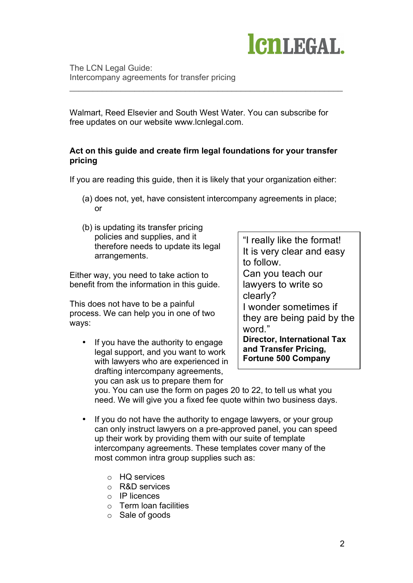

Walmart, Reed Elsevier and South West Water. You can subscribe for free updates on our website www.lcnlegal.com.

\_\_\_\_\_\_\_\_\_\_\_\_\_\_\_\_\_\_\_\_\_\_\_\_\_\_\_\_\_\_\_\_\_\_\_\_\_\_\_\_\_\_\_\_\_\_\_\_\_\_\_\_\_\_\_\_\_\_\_

## **Act on this guide and create firm legal foundations for your transfer pricing**

If you are reading this guide, then it is likely that your organization either:

- (a) does not, yet, have consistent intercompany agreements in place; or
- (b) is updating its transfer pricing policies and supplies, and it therefore needs to update its legal arrangements.

Either way, you need to take action to benefit from the information in this guide.

This does not have to be a painful process. We can help you in one of two ways:

If you have the authority to engage legal support, and you want to work with lawyers who are experienced in drafting intercompany agreements, you can ask us to prepare them for

"I really like the format! It is very clear and easy to follow. Can you teach our lawyers to write so clearly? I wonder sometimes if they are being paid by the word." **Director, International Tax and Transfer Pricing, Fortune 500 Company**

you. You can use the form on pages 20 to 22, to tell us what you need. We will give you a fixed fee quote within two business days.

- If you do not have the authority to engage lawyers, or your group can only instruct lawyers on a pre-approved panel, you can speed up their work by providing them with our suite of template intercompany agreements. These templates cover many of the most common intra group supplies such as:
	- o HQ services
	- o R&D services
	- o IP licences
	- o Term loan facilities
	- o Sale of goods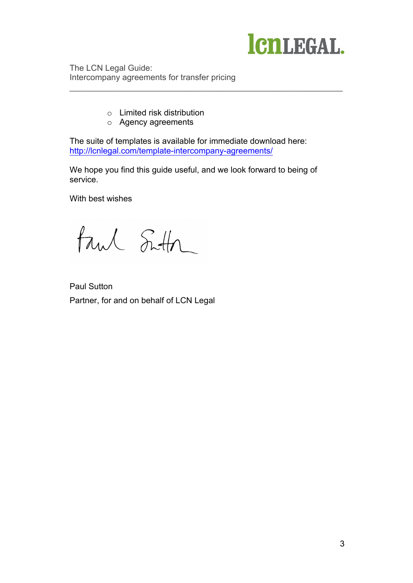

- o Limited risk distribution
- o Agency agreements

The suite of templates is available for immediate download here: http://lcnlegal.com/template-intercompany-agreements/

\_\_\_\_\_\_\_\_\_\_\_\_\_\_\_\_\_\_\_\_\_\_\_\_\_\_\_\_\_\_\_\_\_\_\_\_\_\_\_\_\_\_\_\_\_\_\_\_\_\_\_\_\_\_\_\_\_\_\_

We hope you find this guide useful, and we look forward to being of service.

With best wishes

tand Sutton

Paul Sutton Partner, for and on behalf of LCN Legal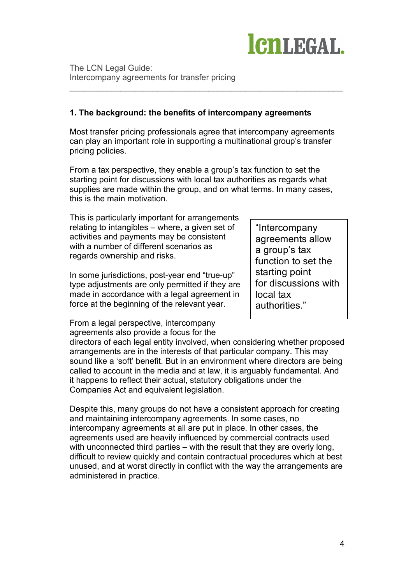

## **1. The background: the benefits of intercompany agreements**

Most transfer pricing professionals agree that intercompany agreements can play an important role in supporting a multinational group's transfer pricing policies.

\_\_\_\_\_\_\_\_\_\_\_\_\_\_\_\_\_\_\_\_\_\_\_\_\_\_\_\_\_\_\_\_\_\_\_\_\_\_\_\_\_\_\_\_\_\_\_\_\_\_\_\_\_\_\_\_\_\_\_

From a tax perspective, they enable a group's tax function to set the starting point for discussions with local tax authorities as regards what supplies are made within the group, and on what terms. In many cases, this is the main motivation.

This is particularly important for arrangements relating to intangibles – where, a given set of activities and payments may be consistent with a number of different scenarios as regards ownership and risks.

In some jurisdictions, post-year end "true-up" type adjustments are only permitted if they are made in accordance with a legal agreement in force at the beginning of the relevant year.

"Intercompany agreements allow a group's tax function to set the starting point for discussions with local tax authorities."

From a legal perspective, intercompany agreements also provide a focus for the

directors of each legal entity involved, when considering whether proposed arrangements are in the interests of that particular company. This may sound like a 'soft' benefit. But in an environment where directors are being called to account in the media and at law, it is arguably fundamental. And it happens to reflect their actual, statutory obligations under the Companies Act and equivalent legislation.

Despite this, many groups do not have a consistent approach for creating and maintaining intercompany agreements. In some cases, no intercompany agreements at all are put in place. In other cases, the agreements used are heavily influenced by commercial contracts used with unconnected third parties – with the result that they are overly long, difficult to review quickly and contain contractual procedures which at best unused, and at worst directly in conflict with the way the arrangements are administered in practice.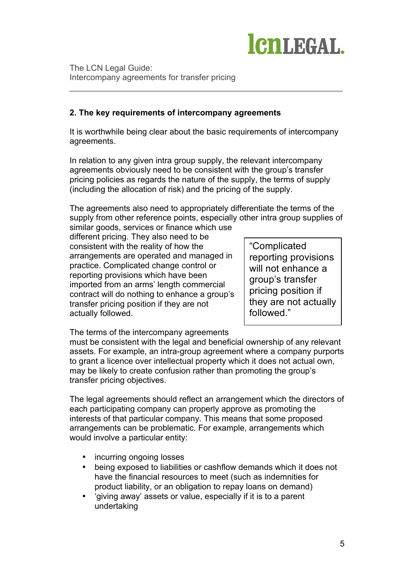

## **2. The key requirements of intercompany agreements**

It is worthwhile being clear about the basic requirements of intercompany agreements.

\_\_\_\_\_\_\_\_\_\_\_\_\_\_\_\_\_\_\_\_\_\_\_\_\_\_\_\_\_\_\_\_\_\_\_\_\_\_\_\_\_\_\_\_\_\_\_\_\_\_\_\_\_\_\_\_\_\_\_

In relation to any given intra group supply, the relevant intercompany agreements obviously need to be consistent with the group's transfer pricing policies as regards the nature of the supply, the terms of supply (including the allocation of risk) and the pricing of the supply.

The agreements also need to appropriately differentiate the terms of the supply from other reference points, especially other intra group supplies of similar goods, services or finance which use

different pricing. They also need to be consistent with the reality of how the arrangements are operated and managed in practice. Complicated change control or reporting provisions which have been imported from an arms' length commercial contract will do nothing to enhance a group's transfer pricing position if they are not actually followed.

"Complicated reporting provisions will not enhance a group's transfer pricing position if they are not actually followed."

The terms of the intercompany agreements

must be consistent with the legal and beneficial ownership of any relevant assets. For example, an intra-group agreement where a company purports to grant a licence over intellectual property which it does not actual own, may be likely to create confusion rather than promoting the group's transfer pricing objectives.

The legal agreements should reflect an arrangement which the directors of each participating company can properly approve as promoting the interests of that particular company. This means that some proposed arrangements can be problematic. For example, arrangements which would involve a particular entity:

- incurring ongoing losses
- being exposed to liabilities or cashflow demands which it does not have the financial resources to meet (such as indemnities for product liability, or an obligation to repay loans on demand)
- 'giving away' assets or value, especially if it is to a parent undertaking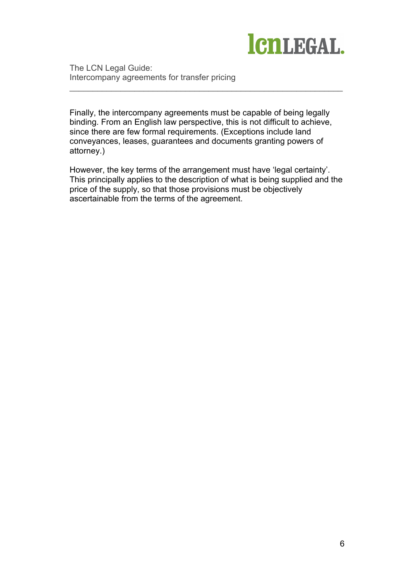

Finally, the intercompany agreements must be capable of being legally binding. From an English law perspective, this is not difficult to achieve, since there are few formal requirements. (Exceptions include land conveyances, leases, guarantees and documents granting powers of attorney.)

\_\_\_\_\_\_\_\_\_\_\_\_\_\_\_\_\_\_\_\_\_\_\_\_\_\_\_\_\_\_\_\_\_\_\_\_\_\_\_\_\_\_\_\_\_\_\_\_\_\_\_\_\_\_\_\_\_\_\_

However, the key terms of the arrangement must have 'legal certainty'. This principally applies to the description of what is being supplied and the price of the supply, so that those provisions must be objectively ascertainable from the terms of the agreement.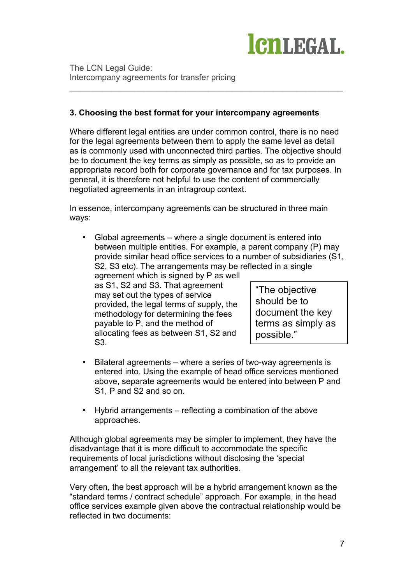

## **3. Choosing the best format for your intercompany agreements**

Where different legal entities are under common control, there is no need for the legal agreements between them to apply the same level as detail as is commonly used with unconnected third parties. The objective should be to document the key terms as simply as possible, so as to provide an appropriate record both for corporate governance and for tax purposes. In general, it is therefore not helpful to use the content of commercially negotiated agreements in an intragroup context.

\_\_\_\_\_\_\_\_\_\_\_\_\_\_\_\_\_\_\_\_\_\_\_\_\_\_\_\_\_\_\_\_\_\_\_\_\_\_\_\_\_\_\_\_\_\_\_\_\_\_\_\_\_\_\_\_\_\_\_

In essence, intercompany agreements can be structured in three main ways:

• Global agreements – where a single document is entered into between multiple entities. For example, a parent company (P) may provide similar head office services to a number of subsidiaries (S1, S2, S3 etc). The arrangements may be reflected in a single

agreement which is signed by P as well as S1, S2 and S3. That agreement may set out the types of service provided, the legal terms of supply, the methodology for determining the fees payable to P, and the method of allocating fees as between S1, S2 and S3.

"The objective should be to document the key terms as simply as possible."

- Bilateral agreements where a series of two-way agreements is entered into. Using the example of head office services mentioned above, separate agreements would be entered into between P and S1, P and S2 and so on.
- Hybrid arrangements reflecting a combination of the above approaches.

Although global agreements may be simpler to implement, they have the disadvantage that it is more difficult to accommodate the specific requirements of local jurisdictions without disclosing the 'special arrangement' to all the relevant tax authorities.

Very often, the best approach will be a hybrid arrangement known as the "standard terms / contract schedule" approach. For example, in the head office services example given above the contractual relationship would be reflected in two documents: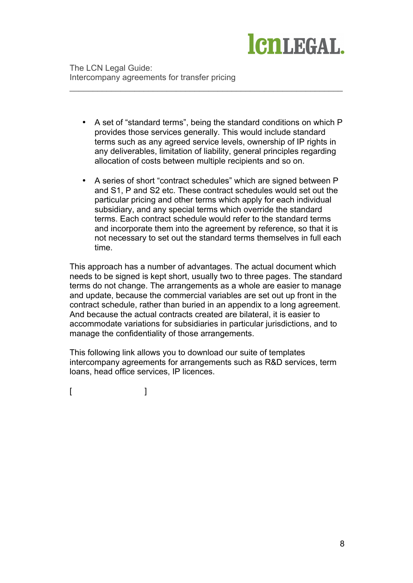

• A set of "standard terms", being the standard conditions on which P provides those services generally. This would include standard terms such as any agreed service levels, ownership of IP rights in any deliverables, limitation of liability, general principles regarding allocation of costs between multiple recipients and so on.

\_\_\_\_\_\_\_\_\_\_\_\_\_\_\_\_\_\_\_\_\_\_\_\_\_\_\_\_\_\_\_\_\_\_\_\_\_\_\_\_\_\_\_\_\_\_\_\_\_\_\_\_\_\_\_\_\_\_\_

• A series of short "contract schedules" which are signed between P and S1, P and S2 etc. These contract schedules would set out the particular pricing and other terms which apply for each individual subsidiary, and any special terms which override the standard terms. Each contract schedule would refer to the standard terms and incorporate them into the agreement by reference, so that it is not necessary to set out the standard terms themselves in full each time.

This approach has a number of advantages. The actual document which needs to be signed is kept short, usually two to three pages. The standard terms do not change. The arrangements as a whole are easier to manage and update, because the commercial variables are set out up front in the contract schedule, rather than buried in an appendix to a long agreement. And because the actual contracts created are bilateral, it is easier to accommodate variations for subsidiaries in particular jurisdictions, and to manage the confidentiality of those arrangements.

This following link allows you to download our suite of templates intercompany agreements for arrangements such as R&D services, term loans, head office services, IP licences.

 $[$   $]$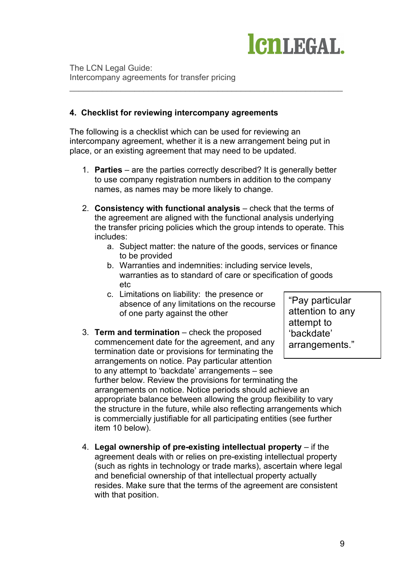

## **4. Checklist for reviewing intercompany agreements**

The following is a checklist which can be used for reviewing an intercompany agreement, whether it is a new arrangement being put in place, or an existing agreement that may need to be updated.

\_\_\_\_\_\_\_\_\_\_\_\_\_\_\_\_\_\_\_\_\_\_\_\_\_\_\_\_\_\_\_\_\_\_\_\_\_\_\_\_\_\_\_\_\_\_\_\_\_\_\_\_\_\_\_\_\_\_\_

- 1. **Parties** are the parties correctly described? It is generally better to use company registration numbers in addition to the company names, as names may be more likely to change.
- 2. **Consistency with functional analysis** check that the terms of the agreement are aligned with the functional analysis underlying the transfer pricing policies which the group intends to operate. This includes:
	- a. Subject matter: the nature of the goods, services or finance to be provided
	- b. Warranties and indemnities: including service levels, warranties as to standard of care or specification of goods etc
	- c. Limitations on liability: the presence or absence of any limitations on the recourse of one party against the other

3. **Term and termination** – check the proposed commencement date for the agreement, and any termination date or provisions for terminating the arrangements on notice. Pay particular attention to any attempt to 'backdate' arrangements – see further below. Review the provisions for terminating the arrangements on notice. Notice periods should achieve an appropriate balance between allowing the group flexibility to vary the structure in the future, while also reflecting arrangements which is commercially justifiable for all participating entities (see further item 10 below). 'backdate' arrangements."

4. **Legal ownership of pre-existing intellectual property** – if the agreement deals with or relies on pre-existing intellectual property (such as rights in technology or trade marks), ascertain where legal and beneficial ownership of that intellectual property actually resides. Make sure that the terms of the agreement are consistent with that position.

"Pay particular attention to any attempt to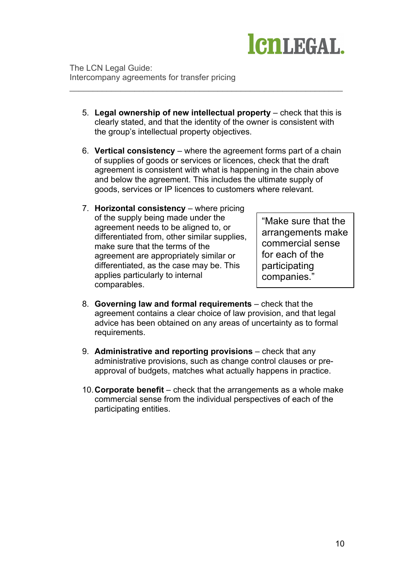

5. **Legal ownership of new intellectual property** – check that this is clearly stated, and that the identity of the owner is consistent with the group's intellectual property objectives.

\_\_\_\_\_\_\_\_\_\_\_\_\_\_\_\_\_\_\_\_\_\_\_\_\_\_\_\_\_\_\_\_\_\_\_\_\_\_\_\_\_\_\_\_\_\_\_\_\_\_\_\_\_\_\_\_\_\_\_

- 6. **Vertical consistency** where the agreement forms part of a chain of supplies of goods or services or licences, check that the draft agreement is consistent with what is happening in the chain above and below the agreement. This includes the ultimate supply of goods, services or IP licences to customers where relevant.
- 7. **Horizontal consistency** where pricing of the supply being made under the agreement needs to be aligned to, or differentiated from, other similar supplies, make sure that the terms of the agreement are appropriately similar or differentiated, as the case may be. This applies particularly to internal comparables.

"Make sure that the arrangements make commercial sense for each of the participating companies."

- 8. **Governing law and formal requirements** check that the agreement contains a clear choice of law provision, and that legal advice has been obtained on any areas of uncertainty as to formal requirements.
- 9. **Administrative and reporting provisions** check that any administrative provisions, such as change control clauses or preapproval of budgets, matches what actually happens in practice.
- 10.**Corporate benefit** check that the arrangements as a whole make commercial sense from the individual perspectives of each of the participating entities.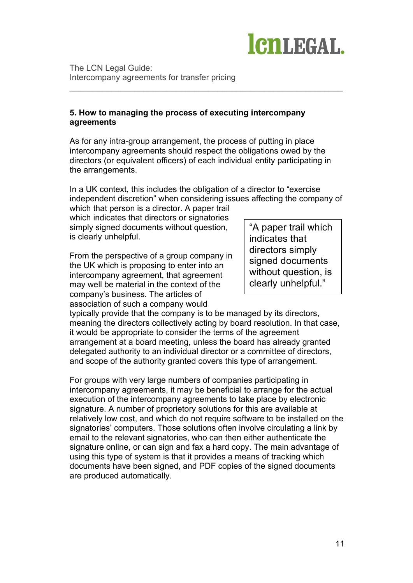

## **5. How to managing the process of executing intercompany agreements**

As for any intra-group arrangement, the process of putting in place intercompany agreements should respect the obligations owed by the directors (or equivalent officers) of each individual entity participating in the arrangements.

\_\_\_\_\_\_\_\_\_\_\_\_\_\_\_\_\_\_\_\_\_\_\_\_\_\_\_\_\_\_\_\_\_\_\_\_\_\_\_\_\_\_\_\_\_\_\_\_\_\_\_\_\_\_\_\_\_\_\_

In a UK context, this includes the obligation of a director to "exercise independent discretion" when considering issues affecting the company of

which that person is a director. A paper trail which indicates that directors or signatories simply signed documents without question, is clearly unhelpful.

From the perspective of a group company in the UK which is proposing to enter into an intercompany agreement, that agreement may well be material in the context of the company's business. The articles of association of such a company would

"A paper trail which indicates that directors simply signed documents without question, is clearly unhelpful."

typically provide that the company is to be managed by its directors, meaning the directors collectively acting by board resolution. In that case, it would be appropriate to consider the terms of the agreement arrangement at a board meeting, unless the board has already granted delegated authority to an individual director or a committee of directors, and scope of the authority granted covers this type of arrangement.

For groups with very large numbers of companies participating in intercompany agreements, it may be beneficial to arrange for the actual execution of the intercompany agreements to take place by electronic signature. A number of proprietory solutions for this are available at relatively low cost, and which do not require software to be installed on the signatories' computers. Those solutions often involve circulating a link by email to the relevant signatories, who can then either authenticate the signature online, or can sign and fax a hard copy. The main advantage of using this type of system is that it provides a means of tracking which documents have been signed, and PDF copies of the signed documents are produced automatically.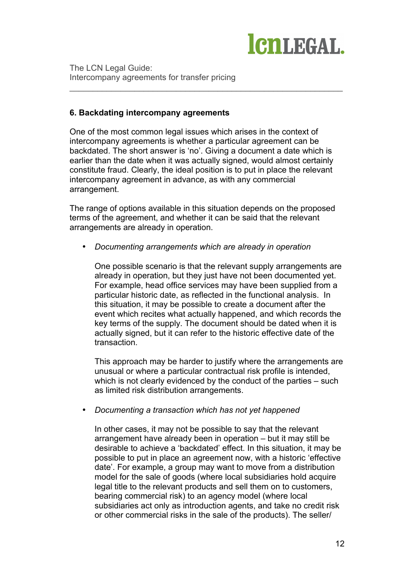

## **6. Backdating intercompany agreements**

One of the most common legal issues which arises in the context of intercompany agreements is whether a particular agreement can be backdated. The short answer is 'no'. Giving a document a date which is earlier than the date when it was actually signed, would almost certainly constitute fraud. Clearly, the ideal position is to put in place the relevant intercompany agreement in advance, as with any commercial arrangement.

\_\_\_\_\_\_\_\_\_\_\_\_\_\_\_\_\_\_\_\_\_\_\_\_\_\_\_\_\_\_\_\_\_\_\_\_\_\_\_\_\_\_\_\_\_\_\_\_\_\_\_\_\_\_\_\_\_\_\_

The range of options available in this situation depends on the proposed terms of the agreement, and whether it can be said that the relevant arrangements are already in operation.

• *Documenting arrangements which are already in operation*

One possible scenario is that the relevant supply arrangements are already in operation, but they just have not been documented yet. For example, head office services may have been supplied from a particular historic date, as reflected in the functional analysis. In this situation, it may be possible to create a document after the event which recites what actually happened, and which records the key terms of the supply. The document should be dated when it is actually signed, but it can refer to the historic effective date of the transaction.

This approach may be harder to justify where the arrangements are unusual or where a particular contractual risk profile is intended, which is not clearly evidenced by the conduct of the parties – such as limited risk distribution arrangements.

• *Documenting a transaction which has not yet happened*

In other cases, it may not be possible to say that the relevant arrangement have already been in operation – but it may still be desirable to achieve a 'backdated' effect. In this situation, it may be possible to put in place an agreement now, with a historic 'effective date'. For example, a group may want to move from a distribution model for the sale of goods (where local subsidiaries hold acquire legal title to the relevant products and sell them on to customers, bearing commercial risk) to an agency model (where local subsidiaries act only as introduction agents, and take no credit risk or other commercial risks in the sale of the products). The seller/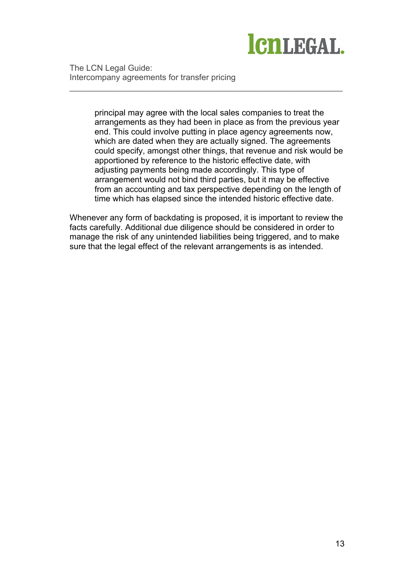

> principal may agree with the local sales companies to treat the arrangements as they had been in place as from the previous year end. This could involve putting in place agency agreements now, which are dated when they are actually signed. The agreements could specify, amongst other things, that revenue and risk would be apportioned by reference to the historic effective date, with adjusting payments being made accordingly. This type of arrangement would not bind third parties, but it may be effective from an accounting and tax perspective depending on the length of time which has elapsed since the intended historic effective date.

\_\_\_\_\_\_\_\_\_\_\_\_\_\_\_\_\_\_\_\_\_\_\_\_\_\_\_\_\_\_\_\_\_\_\_\_\_\_\_\_\_\_\_\_\_\_\_\_\_\_\_\_\_\_\_\_\_\_\_

Whenever any form of backdating is proposed, it is important to review the facts carefully. Additional due diligence should be considered in order to manage the risk of any unintended liabilities being triggered, and to make sure that the legal effect of the relevant arrangements is as intended.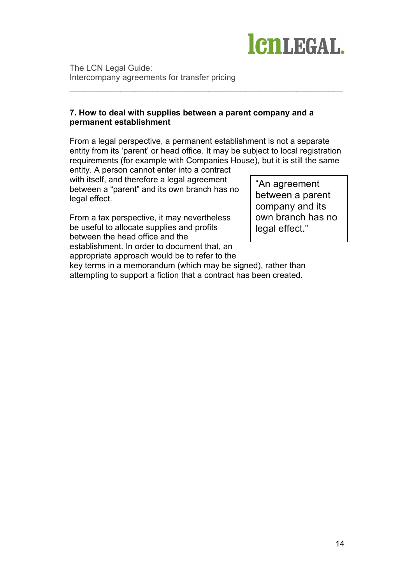

## **7. How to deal with supplies between a parent company and a permanent establishment**

From a legal perspective, a permanent establishment is not a separate entity from its 'parent' or head office. It may be subject to local registration requirements (for example with Companies House), but it is still the same

\_\_\_\_\_\_\_\_\_\_\_\_\_\_\_\_\_\_\_\_\_\_\_\_\_\_\_\_\_\_\_\_\_\_\_\_\_\_\_\_\_\_\_\_\_\_\_\_\_\_\_\_\_\_\_\_\_\_\_

entity. A person cannot enter into a contract with itself, and therefore a legal agreement between a "parent" and its own branch has no legal effect.

From a tax perspective, it may nevertheless be useful to allocate supplies and profits between the head office and the establishment. In order to document that, an appropriate approach would be to refer to the

"An agreement between a parent company and its own branch has no legal effect."

key terms in a memorandum (which may be signed), rather than attempting to support a fiction that a contract has been created.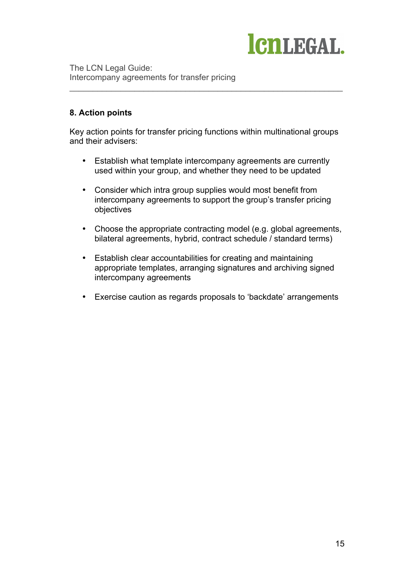

## **8. Action points**

Key action points for transfer pricing functions within multinational groups and their advisers:

\_\_\_\_\_\_\_\_\_\_\_\_\_\_\_\_\_\_\_\_\_\_\_\_\_\_\_\_\_\_\_\_\_\_\_\_\_\_\_\_\_\_\_\_\_\_\_\_\_\_\_\_\_\_\_\_\_\_\_

- Establish what template intercompany agreements are currently used within your group, and whether they need to be updated
- Consider which intra group supplies would most benefit from intercompany agreements to support the group's transfer pricing objectives
- Choose the appropriate contracting model (e.g. global agreements, bilateral agreements, hybrid, contract schedule / standard terms)
- Establish clear accountabilities for creating and maintaining appropriate templates, arranging signatures and archiving signed intercompany agreements
- Exercise caution as regards proposals to 'backdate' arrangements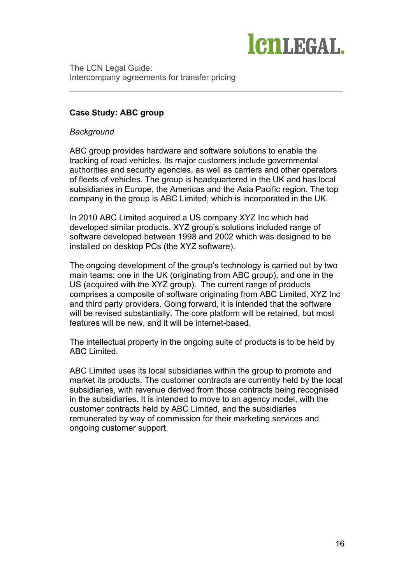

## **Case Study: ABC group**

#### *Background*

ABC group provides hardware and software solutions to enable the tracking of road vehicles. Its major customers include governmental authorities and security agencies, as well as carriers and other operators of fleets of vehicles. The group is headquartered in the UK and has local subsidiaries in Europe, the Americas and the Asia Pacific region. The top company in the group is ABC Limited, which is incorporated in the UK.

\_\_\_\_\_\_\_\_\_\_\_\_\_\_\_\_\_\_\_\_\_\_\_\_\_\_\_\_\_\_\_\_\_\_\_\_\_\_\_\_\_\_\_\_\_\_\_\_\_\_\_\_\_\_\_\_\_\_\_

In 2010 ABC Limited acquired a US company XYZ Inc which had developed similar products. XYZ group's solutions included range of software developed between 1998 and 2002 which was designed to be installed on desktop PCs (the XYZ software).

The ongoing development of the group's technology is carried out by two main teams: one in the UK (originating from ABC group), and one in the US (acquired with the XYZ group). The current range of products comprises a composite of software originating from ABC Limited, XYZ Inc and third party providers. Going forward, it is intended that the software will be revised substantially. The core platform will be retained, but most features will be new, and it will be internet-based.

The intellectual property in the ongoing suite of products is to be held by ABC Limited.

ABC Limited uses its local subsidiaries within the group to promote and market its products. The customer contracts are currently held by the local subsidiaries, with revenue derived from those contracts being recognised in the subsidiaries. It is intended to move to an agency model, with the customer contracts held by ABC Limited, and the subsidiaries remunerated by way of commission for their marketing services and ongoing customer support.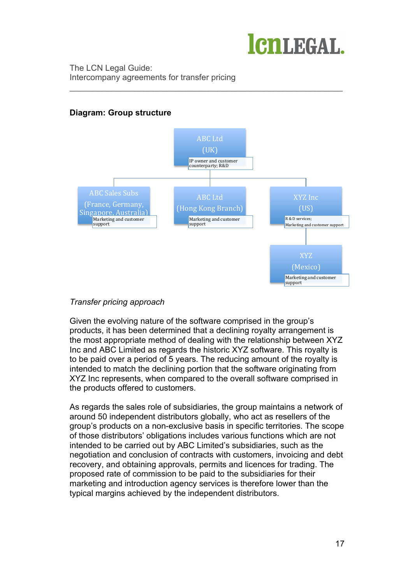

# **Diagram: Group structure**



\_\_\_\_\_\_\_\_\_\_\_\_\_\_\_\_\_\_\_\_\_\_\_\_\_\_\_\_\_\_\_\_\_\_\_\_\_\_\_\_\_\_\_\_\_\_\_\_\_\_\_\_\_\_\_\_\_\_\_

## *Transfer pricing approach*

Given the evolving nature of the software comprised in the group's products, it has been determined that a declining royalty arrangement is the most appropriate method of dealing with the relationship between XYZ Inc and ABC Limited as regards the historic XYZ software. This royalty is to be paid over a period of 5 years. The reducing amount of the royalty is intended to match the declining portion that the software originating from XYZ Inc represents, when compared to the overall software comprised in the products offered to customers.

As regards the sales role of subsidiaries, the group maintains a network of around 50 independent distributors globally, who act as resellers of the group's products on a non-exclusive basis in specific territories. The scope of those distributors' obligations includes various functions which are not intended to be carried out by ABC Limited's subsidiaries, such as the negotiation and conclusion of contracts with customers, invoicing and debt recovery, and obtaining approvals, permits and licences for trading. The proposed rate of commission to be paid to the subsidiaries for their marketing and introduction agency services is therefore lower than the typical margins achieved by the independent distributors.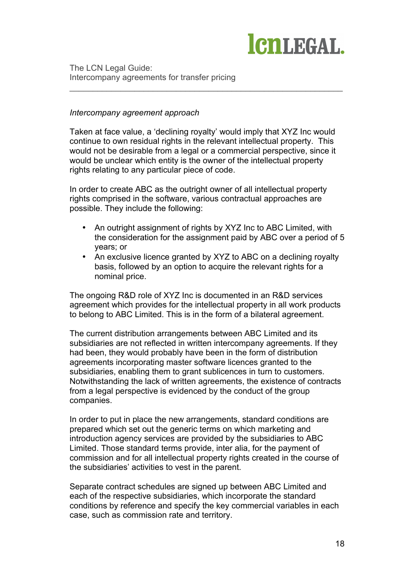

## *Intercompany agreement approach*

Taken at face value, a 'declining royalty' would imply that XYZ Inc would continue to own residual rights in the relevant intellectual property. This would not be desirable from a legal or a commercial perspective, since it would be unclear which entity is the owner of the intellectual property rights relating to any particular piece of code.

\_\_\_\_\_\_\_\_\_\_\_\_\_\_\_\_\_\_\_\_\_\_\_\_\_\_\_\_\_\_\_\_\_\_\_\_\_\_\_\_\_\_\_\_\_\_\_\_\_\_\_\_\_\_\_\_\_\_\_

In order to create ABC as the outright owner of all intellectual property rights comprised in the software, various contractual approaches are possible. They include the following:

- An outright assignment of rights by XYZ Inc to ABC Limited, with the consideration for the assignment paid by ABC over a period of 5 years; or
- An exclusive licence granted by XYZ to ABC on a declining royalty basis, followed by an option to acquire the relevant rights for a nominal price.

The ongoing R&D role of XYZ Inc is documented in an R&D services agreement which provides for the intellectual property in all work products to belong to ABC Limited. This is in the form of a bilateral agreement.

The current distribution arrangements between ABC Limited and its subsidiaries are not reflected in written intercompany agreements. If they had been, they would probably have been in the form of distribution agreements incorporating master software licences granted to the subsidiaries, enabling them to grant sublicences in turn to customers. Notwithstanding the lack of written agreements, the existence of contracts from a legal perspective is evidenced by the conduct of the group companies.

In order to put in place the new arrangements, standard conditions are prepared which set out the generic terms on which marketing and introduction agency services are provided by the subsidiaries to ABC Limited. Those standard terms provide, inter alia, for the payment of commission and for all intellectual property rights created in the course of the subsidiaries' activities to vest in the parent.

Separate contract schedules are signed up between ABC Limited and each of the respective subsidiaries, which incorporate the standard conditions by reference and specify the key commercial variables in each case, such as commission rate and territory.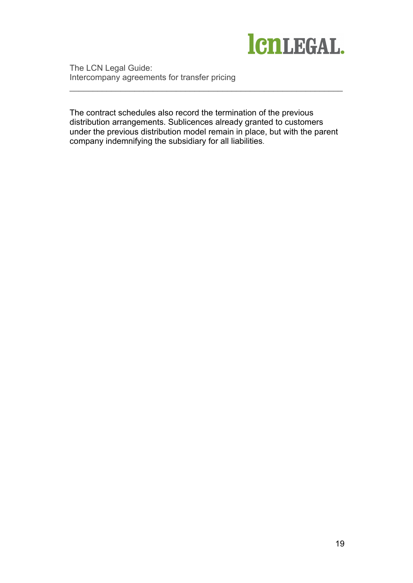

The contract schedules also record the termination of the previous distribution arrangements. Sublicences already granted to customers under the previous distribution model remain in place, but with the parent company indemnifying the subsidiary for all liabilities.

\_\_\_\_\_\_\_\_\_\_\_\_\_\_\_\_\_\_\_\_\_\_\_\_\_\_\_\_\_\_\_\_\_\_\_\_\_\_\_\_\_\_\_\_\_\_\_\_\_\_\_\_\_\_\_\_\_\_\_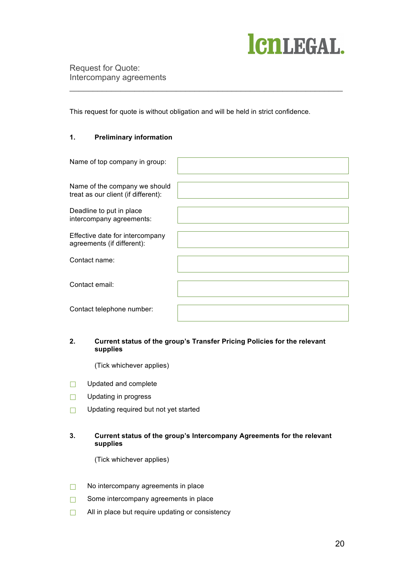# ICNLEGAL.

Request for Quote: Intercompany agreements

This request for quote is without obligation and will be held in strict confidence.

\_\_\_\_\_\_\_\_\_\_\_\_\_\_\_\_\_\_\_\_\_\_\_\_\_\_\_\_\_\_\_\_\_\_\_\_\_\_\_\_\_\_\_\_\_\_\_\_\_\_\_\_\_\_\_\_\_\_\_

## **1. Preliminary information**

| Name of top company in group:                                        |  |
|----------------------------------------------------------------------|--|
| Name of the company we should<br>treat as our client (if different): |  |
| Deadline to put in place<br>intercompany agreements:                 |  |
| Effective date for intercompany<br>agreements (if different):        |  |
| Contact name:                                                        |  |
| Contact email:                                                       |  |
| Contact telephone number:                                            |  |

#### **2. Current status of the group's Transfer Pricing Policies for the relevant supplies**

(Tick whichever applies)

- □ Updated and complete
- □ Updating in progress
- ☐ Updating required but not yet started

#### **3. Current status of the group's Intercompany Agreements for the relevant supplies**

(Tick whichever applies)

- ☐ No intercompany agreements in place
- □ Some intercompany agreements in place
- □ All in place but require updating or consistency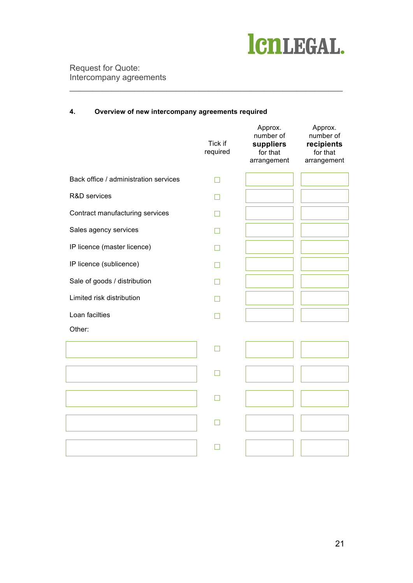

Request for Quote: Intercompany agreements

#### **4. Overview of new intercompany agreements required**

\_\_\_\_\_\_\_\_\_\_\_\_\_\_\_\_\_\_\_\_\_\_\_\_\_\_\_\_\_\_\_\_\_\_\_\_\_\_\_\_\_\_\_\_\_\_\_\_\_\_\_\_\_\_\_\_\_\_\_

|                                       | Tick if<br>required | Approx.<br>number of<br>suppliers<br>for that<br>arrangement | Approx.<br>number of<br>recipients<br>for that<br>arrangement |
|---------------------------------------|---------------------|--------------------------------------------------------------|---------------------------------------------------------------|
| Back office / administration services | П                   |                                                              |                                                               |
| R&D services                          | n                   |                                                              |                                                               |
| Contract manufacturing services       |                     |                                                              |                                                               |
| Sales agency services                 |                     |                                                              |                                                               |
| IP licence (master licence)           | m                   |                                                              |                                                               |
| IP licence (sublicence)               | M                   |                                                              |                                                               |
| Sale of goods / distribution          |                     |                                                              |                                                               |
| Limited risk distribution             | H                   |                                                              |                                                               |
| Loan facilties                        |                     |                                                              |                                                               |
| Other:                                |                     |                                                              |                                                               |
|                                       | П                   |                                                              |                                                               |
|                                       |                     |                                                              |                                                               |
|                                       | П                   |                                                              |                                                               |
|                                       | n                   |                                                              |                                                               |
|                                       |                     |                                                              |                                                               |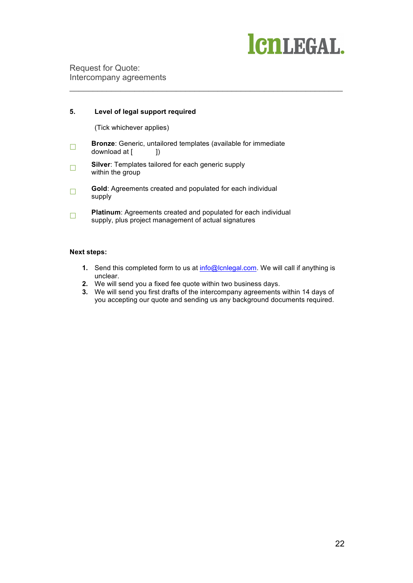# ICNLEGAL.

Request for Quote: Intercompany agreements

#### **5. Level of legal support required**

(Tick whichever applies)

- **Bronze**: Generic, untailored templates (available for immediate download at [ 1 ]) download at [
- ☐ **Silver**: Templates tailored for each generic supply within the group
- □ **Gold**: Agreements created and populated for each individual supply
- **□ Platinum**: Agreements created and populated for each individual supply, plus project management of actual signatures

#### **Next steps:**

**1.** Send this completed form to us at info@lcnlegal.com. We will call if anything is unclear.

\_\_\_\_\_\_\_\_\_\_\_\_\_\_\_\_\_\_\_\_\_\_\_\_\_\_\_\_\_\_\_\_\_\_\_\_\_\_\_\_\_\_\_\_\_\_\_\_\_\_\_\_\_\_\_\_\_\_\_

- **2.** We will send you a fixed fee quote within two business days.
- **3.** We will send you first drafts of the intercompany agreements within 14 days of you accepting our quote and sending us any background documents required.